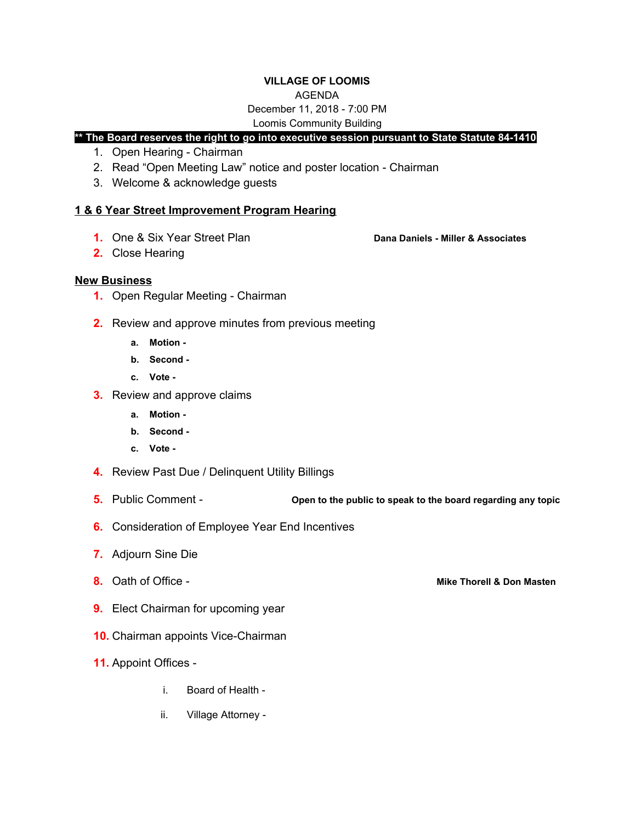#### **VILLAGE OF LOOMIS**

#### AGENDA

# December 11, 2018 - 7:00 PM

#### Loomis Community Building

# **\*\* The Board reserves the right to go into executive session pursuant to State Statute 84-1410**

- 1. Open Hearing Chairman
- 2. Read "Open Meeting Law" notice and poster location Chairman
- 3. Welcome & acknowledge guests

## **1 & 6 Year Street Improvement Program Hearing**

**1.** One & Six Year Street Plan **Dana Daniels - Miller & Associates**

**2.** Close Hearing

## **New Business**

- **1.** Open Regular Meeting Chairman
- **2.** Review and approve minutes from previous meeting
	- **a. Motion -**
	- **b. Second -**
	- **c. Vote -**
- **3.** Review and approve claims
	- **a. Motion -**
	- **b. Second -**
	- **c. Vote -**
- **4.** Review Past Due / Delinquent Utility Billings
- **5.** Public Comment **Open to the public to speak to the board regarding any topic**
- **6.** Consideration of Employee Year End Incentives
- **7.** Adjourn Sine Die
- 
- **9.** Elect Chairman for upcoming year
- **10.** Chairman appoints Vice-Chairman
- **11.** Appoint Offices
	- i. Board of Health -
	- ii. Village Attorney -

**8.** Oath of Office - **Mike Thorell & Don Masten**